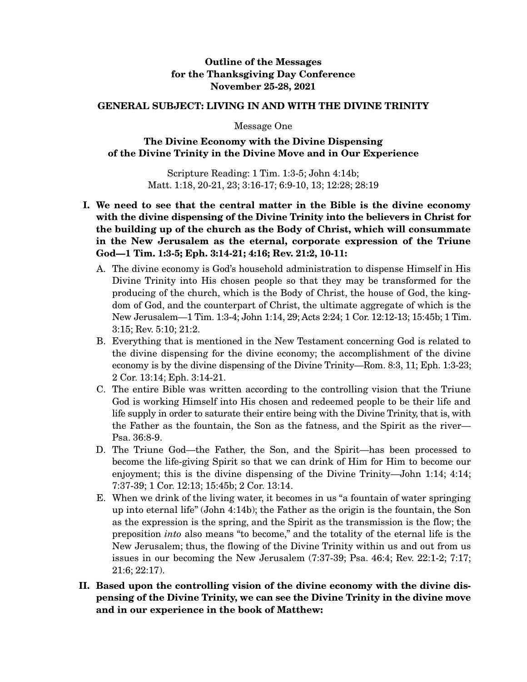## **Outline of the Messages for the Thanksgiving Day Conference November 25-28, 2021**

## **GENERAL SUBJECT: LIVING IN AND WITH THE DIVINE TRINITY**

Message One

## **The Divine Economy with the Divine Dispensing of the Divine Trinity in the Divine Move and in Our Experience**

Scripture Reading: 1 Tim. 1:3-5; John 4:14b; Matt. 1:18, 20-21, 23; 3:16-17; 6:9-10, 13; 12:28; 28:19

- **I. We need to see that the central matter in the Bible is the divine economy with the divine dispensing of the Divine Trinity into the believers in Christ for the building up of the church as the Body of Christ, which will consummate in the New Jerusalem as the eternal, corporate expression of the Triune God—1 Tim. 1:3-5; Eph. 3:14-21; 4:16; Rev. 21:2, 10-11:** 
	- A. The divine economy is God's household administration to dispense Himself in His Divine Trinity into His chosen people so that they may be transformed for the producing of the church, which is the Body of Christ, the house of God, the kingdom of God, and the counterpart of Christ, the ultimate aggregate of which is the New Jerusalem—1 Tim. 1:3-4; John 1:14, 29; Acts 2:24; 1 Cor. 12:12-13; 15:45b; 1 Tim. 3:15; Rev. 5:10; 21:2.
	- B. Everything that is mentioned in the New Testament concerning God is related to the divine dispensing for the divine economy; the accomplishment of the divine economy is by the divine dispensing of the Divine Trinity—Rom. 8:3, 11; Eph. 1:3-23; 2 Cor. 13:14; Eph. 3:14-21.
	- C. The entire Bible was written according to the controlling vision that the Triune God is working Himself into His chosen and redeemed people to be their life and life supply in order to saturate their entire being with the Divine Trinity, that is, with the Father as the fountain, the Son as the fatness, and the Spirit as the river— Psa. 36:8-9.
	- D. The Triune God—the Father, the Son, and the Spirit—has been processed to become the life-giving Spirit so that we can drink of Him for Him to become our enjoyment; this is the divine dispensing of the Divine Trinity—John 1:14; 4:14; 7:37-39; 1 Cor. 12:13; 15:45b; 2 Cor. 13:14.
	- E. When we drink of the living water, it becomes in us "a fountain of water springing up into eternal life" (John 4:14b); the Father as the origin is the fountain, the Son as the expression is the spring, and the Spirit as the transmission is the flow; the preposition *into* also means "to become," and the totality of the eternal life is the New Jerusalem; thus, the flowing of the Divine Trinity within us and out from us issues in our becoming the New Jerusalem (7:37-39; Psa. 46:4; Rev. 22:1-2; 7:17; 21:6; 22:17).
- **II. Based upon the controlling vision of the divine economy with the divine dispensing of the Divine Trinity, we can see the Divine Trinity in the divine move and in our experience in the book of Matthew:**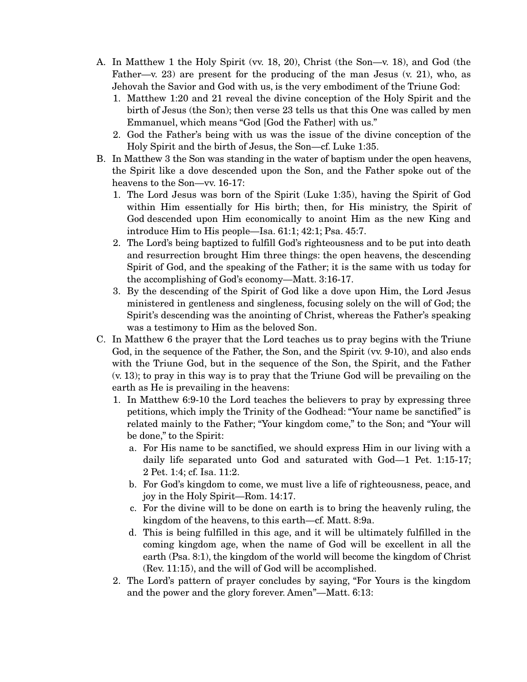- A. In Matthew 1 the Holy Spirit (vv. 18, 20), Christ (the Son—v. 18), and God (the Father—v. 23) are present for the producing of the man Jesus  $(v. 21)$ , who, as Jehovah the Savior and God with us, is the very embodiment of the Triune God:
	- 1. Matthew 1:20 and 21 reveal the divine conception of the Holy Spirit and the birth of Jesus (the Son); then verse 23 tells us that this One was called by men Emmanuel, which means "God [God the Father] with us."
	- 2. God the Father's being with us was the issue of the divine conception of the Holy Spirit and the birth of Jesus, the Son—cf. Luke 1:35.
- B. In Matthew 3 the Son was standing in the water of baptism under the open heavens, the Spirit like a dove descended upon the Son, and the Father spoke out of the heavens to the Son—vv. 16-17:
	- 1. The Lord Jesus was born of the Spirit (Luke 1:35), having the Spirit of God within Him essentially for His birth; then, for His ministry, the Spirit of God descended upon Him economically to anoint Him as the new King and introduce Him to His people—Isa. 61:1; 42:1; Psa. 45:7.
	- 2. The Lord's being baptized to fulfill God's righteousness and to be put into death and resurrection brought Him three things: the open heavens, the descending Spirit of God, and the speaking of the Father; it is the same with us today for the accomplishing of God's economy—Matt. 3:16-17.
	- 3. By the descending of the Spirit of God like a dove upon Him, the Lord Jesus ministered in gentleness and singleness, focusing solely on the will of God; the Spirit's descending was the anointing of Christ, whereas the Father's speaking was a testimony to Him as the beloved Son.
- C. In Matthew 6 the prayer that the Lord teaches us to pray begins with the Triune God, in the sequence of the Father, the Son, and the Spirit (vv. 9-10), and also ends with the Triune God, but in the sequence of the Son, the Spirit, and the Father (v. 13); to pray in this way is to pray that the Triune God will be prevailing on the earth as He is prevailing in the heavens:
	- 1. In Matthew 6:9-10 the Lord teaches the believers to pray by expressing three petitions, which imply the Trinity of the Godhead: "Your name be sanctified" is related mainly to the Father; "Your kingdom come," to the Son; and "Your will be done," to the Spirit:
		- a. For His name to be sanctified, we should express Him in our living with a daily life separated unto God and saturated with God—1 Pet. 1:15-17; 2 Pet. 1:4; cf. Isa. 11:2.
		- b. For God's kingdom to come, we must live a life of righteousness, peace, and joy in the Holy Spirit—Rom. 14:17.
		- c. For the divine will to be done on earth is to bring the heavenly ruling, the kingdom of the heavens, to this earth—cf. Matt. 8:9a.
		- d. This is being fulfilled in this age, and it will be ultimately fulfilled in the coming kingdom age, when the name of God will be excellent in all the earth (Psa. 8:1), the kingdom of the world will become the kingdom of Christ (Rev. 11:15), and the will of God will be accomplished.
	- 2. The Lord's pattern of prayer concludes by saying, "For Yours is the kingdom and the power and the glory forever. Amen"—Matt. 6:13: